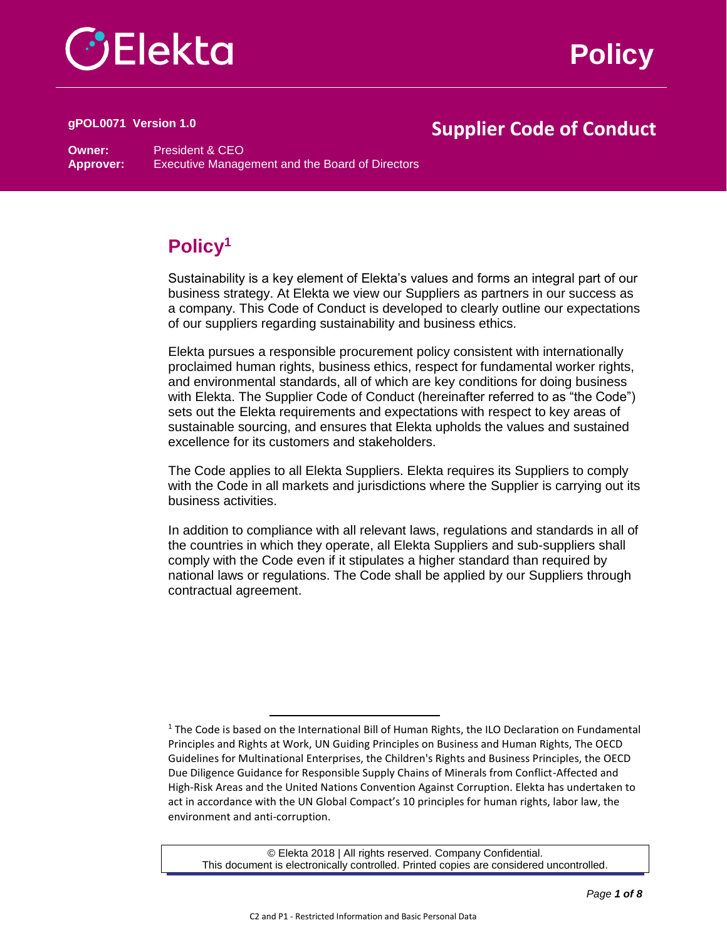

**Policy**

# **Supplier Code of Conduct gPOL0071 Version 1.0**

**Owner:** President & CEO **Approver:** Executive Management and the Board of Directors

# **Policy<sup>1</sup>**

Sustainability is a key element of Elekta's values and forms an integral part of our business strategy. At Elekta we view our Suppliers as partners in our success as a company. This Code of Conduct is developed to clearly outline our expectations of our suppliers regarding sustainability and business ethics.

Elekta pursues a responsible procurement policy consistent with internationally proclaimed human rights, business ethics, respect for fundamental worker rights, and environmental standards, all of which are key conditions for doing business with Elekta. The Supplier Code of Conduct (hereinafter referred to as "the Code") sets out the Elekta requirements and expectations with respect to key areas of sustainable sourcing, and ensures that Elekta upholds the values and sustained excellence for its customers and stakeholders.

The Code applies to all Elekta Suppliers. Elekta requires its Suppliers to comply with the Code in all markets and jurisdictions where the Supplier is carrying out its business activities.

In addition to compliance with all relevant laws, regulations and standards in all of the countries in which they operate, all Elekta Suppliers and sub-suppliers shall comply with the Code even if it stipulates a higher standard than required by national laws or regulations. The Code shall be applied by our Suppliers through contractual agreement.

 $\overline{a}$ 

<sup>&</sup>lt;sup>1</sup> The Code is based on the International Bill of Human Rights, the ILO Declaration on Fundamental Principles and Rights at Work, UN Guiding Principles on Business and Human Rights, The OECD Guidelines for Multinational Enterprises, the Children's Rights and Business Principles, the OECD Due Diligence Guidance for Responsible Supply Chains of Minerals from Conflict-Affected and High-Risk Areas and the United Nations Convention Against Corruption. Elekta has undertaken to act in accordance with the UN Global Compact's 10 principles for human rights, labor law, the environment and anti-corruption.

<sup>©</sup> Elekta 2018 | All rights reserved. Company Confidential. This document is electronically controlled. Printed copies are considered uncontrolled.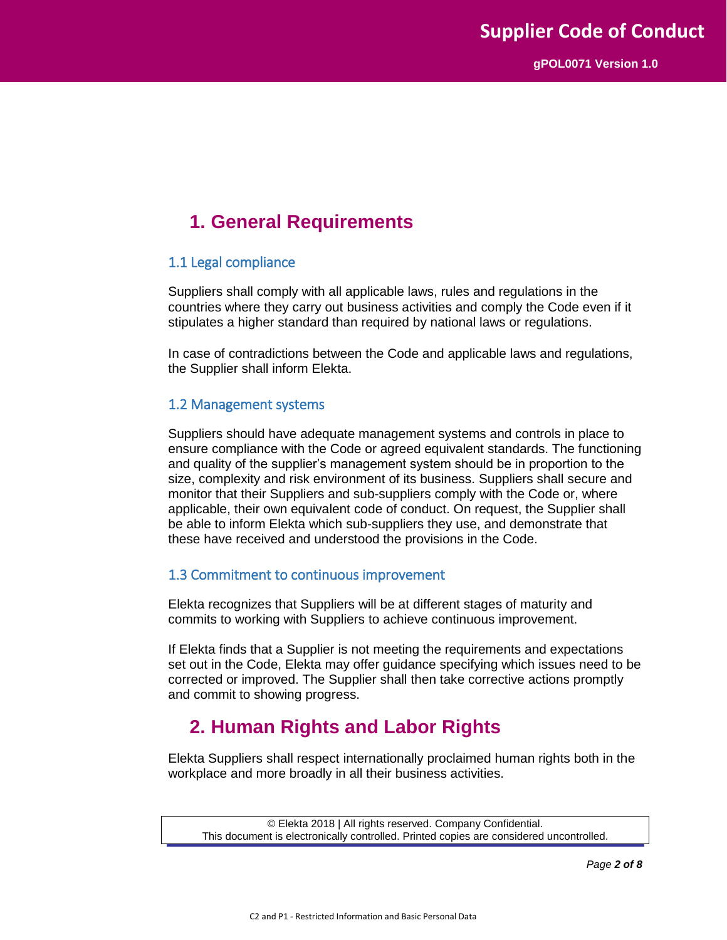# **1. General Requirements**

#### 1.1 Legal compliance

Suppliers shall comply with all applicable laws, rules and regulations in the countries where they carry out business activities and comply the Code even if it stipulates a higher standard than required by national laws or regulations.

In case of contradictions between the Code and applicable laws and regulations, the Supplier shall inform Elekta.

#### 1.2 Management systems

Suppliers should have adequate management systems and controls in place to ensure compliance with the Code or agreed equivalent standards. The functioning and quality of the supplier's management system should be in proportion to the size, complexity and risk environment of its business. Suppliers shall secure and monitor that their Suppliers and sub-suppliers comply with the Code or, where applicable, their own equivalent code of conduct. On request, the Supplier shall be able to inform Elekta which sub-suppliers they use, and demonstrate that these have received and understood the provisions in the Code.

#### 1.3 Commitment to continuous improvement

Elekta recognizes that Suppliers will be at different stages of maturity and commits to working with Suppliers to achieve continuous improvement.

If Elekta finds that a Supplier is not meeting the requirements and expectations set out in the Code, Elekta may offer guidance specifying which issues need to be corrected or improved. The Supplier shall then take corrective actions promptly and commit to showing progress.

## **2. Human Rights and Labor Rights**

Elekta Suppliers shall respect internationally proclaimed human rights both in the workplace and more broadly in all their business activities.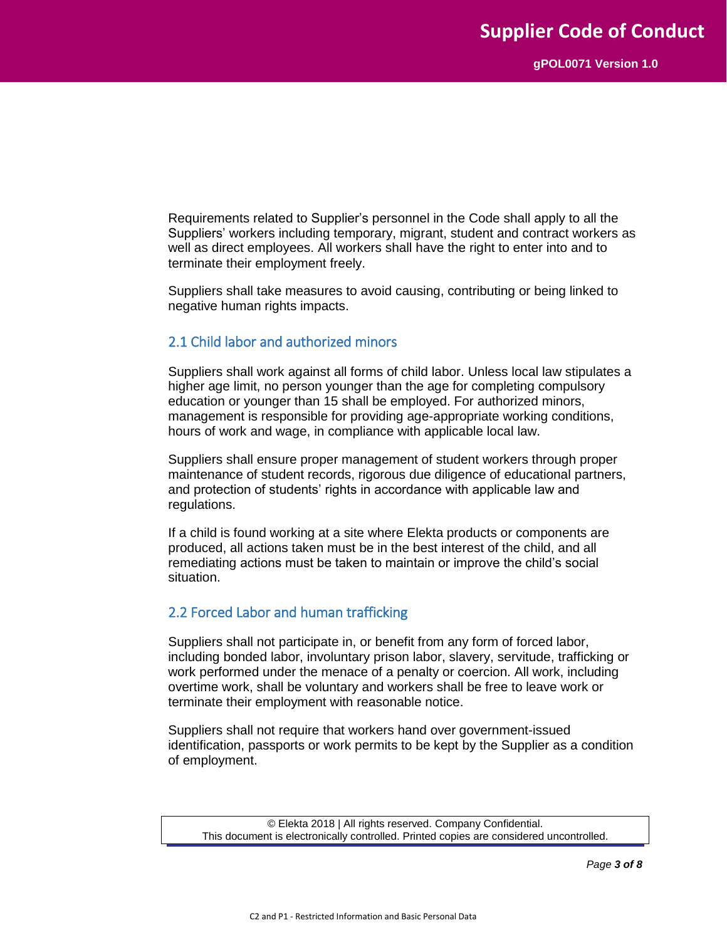Requirements related to Supplier's personnel in the Code shall apply to all the Suppliers' workers including temporary, migrant, student and contract workers as well as direct employees. All workers shall have the right to enter into and to terminate their employment freely.

Suppliers shall take measures to avoid causing, contributing or being linked to negative human rights impacts.

#### 2.1 Child labor and authorized minors

Suppliers shall work against all forms of child labor. Unless local law stipulates a higher age limit, no person younger than the age for completing compulsory education or younger than 15 shall be employed. For authorized minors, management is responsible for providing age-appropriate working conditions, hours of work and wage, in compliance with applicable local law.

Suppliers shall ensure proper management of student workers through proper maintenance of student records, rigorous due diligence of educational partners, and protection of students' rights in accordance with applicable law and regulations.

If a child is found working at a site where Elekta products or components are produced, all actions taken must be in the best interest of the child, and all remediating actions must be taken to maintain or improve the child's social situation.

#### 2.2 Forced Labor and human trafficking

Suppliers shall not participate in, or benefit from any form of forced labor, including bonded labor, involuntary prison labor, slavery, servitude, trafficking or work performed under the menace of a penalty or coercion. All work, including overtime work, shall be voluntary and workers shall be free to leave work or terminate their employment with reasonable notice.

Suppliers shall not require that workers hand over government-issued identification, passports or work permits to be kept by the Supplier as a condition of employment.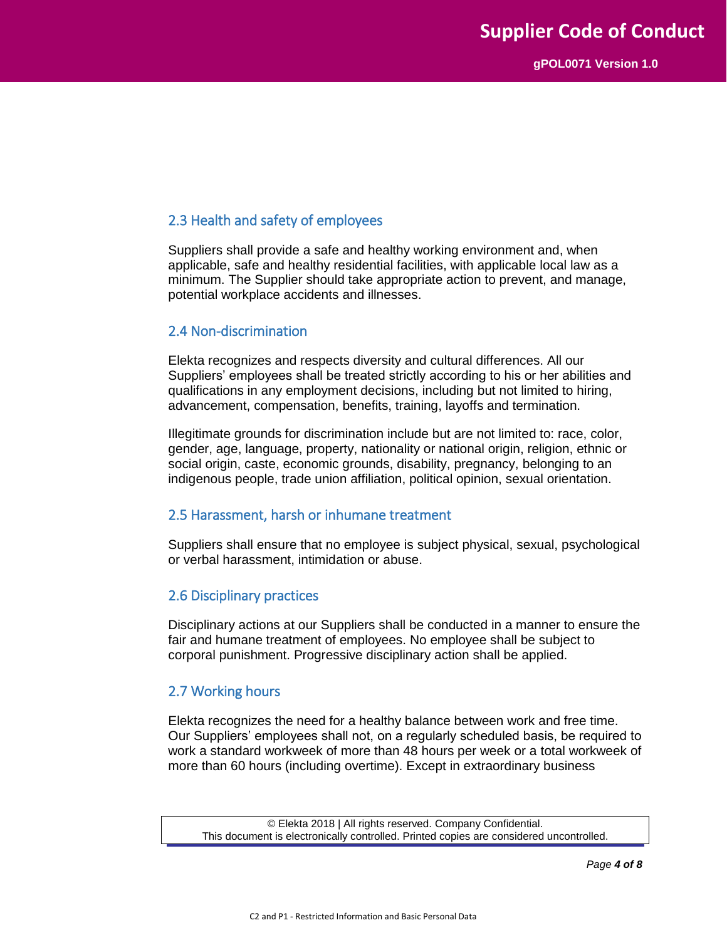### 2.3 Health and safety of employees

Suppliers shall provide a safe and healthy working environment and, when applicable, safe and healthy residential facilities, with applicable local law as a minimum. The Supplier should take appropriate action to prevent, and manage, potential workplace accidents and illnesses.

#### 2.4 Non-discrimination

Elekta recognizes and respects diversity and cultural differences. All our Suppliers' employees shall be treated strictly according to his or her abilities and qualifications in any employment decisions, including but not limited to hiring, advancement, compensation, benefits, training, layoffs and termination.

Illegitimate grounds for discrimination include but are not limited to: race, color, gender, age, language, property, nationality or national origin, religion, ethnic or social origin, caste, economic grounds, disability, pregnancy, belonging to an indigenous people, trade union affiliation, political opinion, sexual orientation.

#### 2.5 Harassment, harsh or inhumane treatment

Suppliers shall ensure that no employee is subject physical, sexual, psychological or verbal harassment, intimidation or abuse.

#### 2.6 Disciplinary practices

Disciplinary actions at our Suppliers shall be conducted in a manner to ensure the fair and humane treatment of employees. No employee shall be subject to corporal punishment. Progressive disciplinary action shall be applied.

#### 2.7 Working hours

Elekta recognizes the need for a healthy balance between work and free time. Our Suppliers' employees shall not, on a regularly scheduled basis, be required to work a standard workweek of more than 48 hours per week or a total workweek of more than 60 hours (including overtime). Except in extraordinary business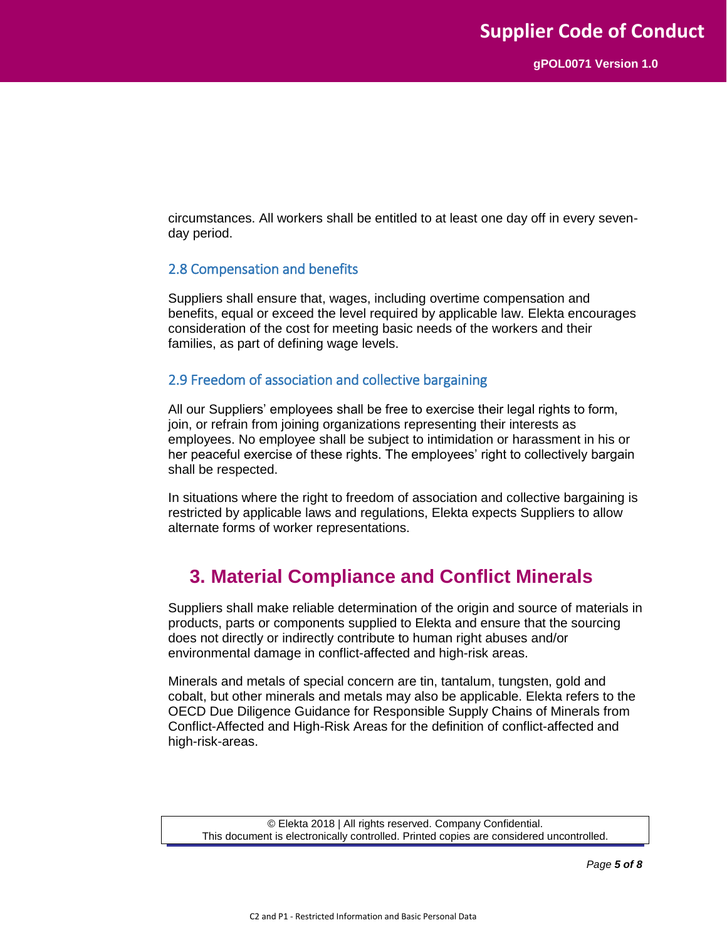circumstances. All workers shall be entitled to at least one day off in every sevenday period.

#### 2.8 Compensation and benefits

Suppliers shall ensure that, wages, including overtime compensation and benefits, equal or exceed the level required by applicable law. Elekta encourages consideration of the cost for meeting basic needs of the workers and their families, as part of defining wage levels.

#### 2.9 Freedom of association and collective bargaining

All our Suppliers' employees shall be free to exercise their legal rights to form, join, or refrain from joining organizations representing their interests as employees. No employee shall be subject to intimidation or harassment in his or her peaceful exercise of these rights. The employees' right to collectively bargain shall be respected.

In situations where the right to freedom of association and collective bargaining is restricted by applicable laws and regulations, Elekta expects Suppliers to allow alternate forms of worker representations.

### **3. Material Compliance and Conflict Minerals**

Suppliers shall make reliable determination of the origin and source of materials in products, parts or components supplied to Elekta and ensure that the sourcing does not directly or indirectly contribute to human right abuses and/or environmental damage in conflict-affected and high-risk areas.

Minerals and metals of special concern are tin, tantalum, tungsten, gold and cobalt, but other minerals and metals may also be applicable. Elekta refers to the OECD Due Diligence Guidance for Responsible Supply Chains of Minerals from Conflict-Affected and High-Risk Areas for the definition of conflict-affected and high-risk-areas.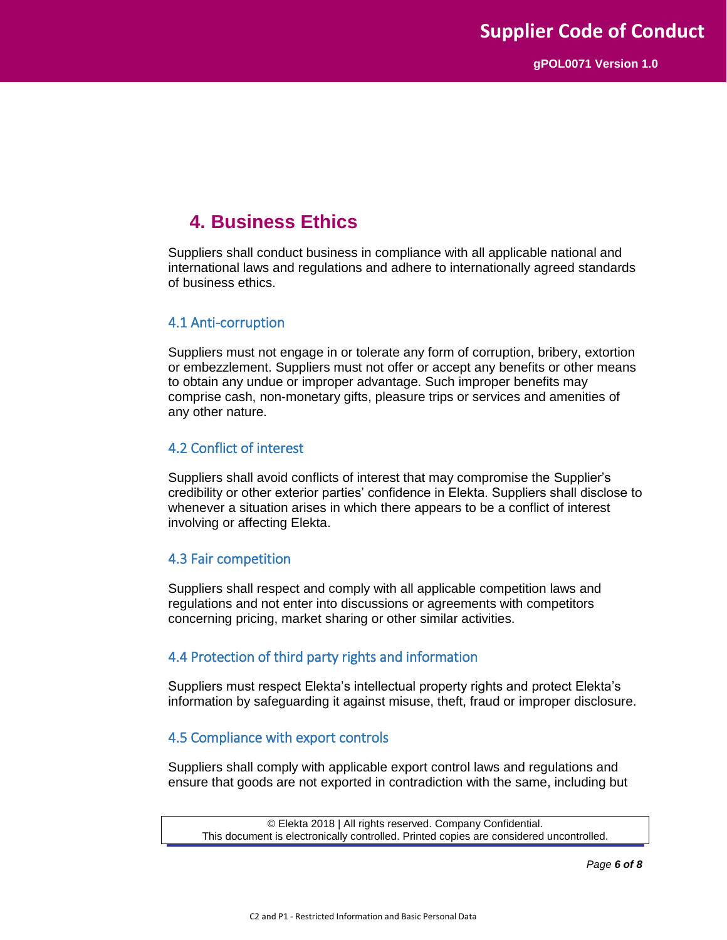### **4. Business Ethics**

Suppliers shall conduct business in compliance with all applicable national and international laws and regulations and adhere to internationally agreed standards of business ethics.

#### 4.1 Anti-corruption

Suppliers must not engage in or tolerate any form of corruption, bribery, extortion or embezzlement. Suppliers must not offer or accept any benefits or other means to obtain any undue or improper advantage. Such improper benefits may comprise cash, non-monetary gifts, pleasure trips or services and amenities of any other nature.

#### 4.2 Conflict of interest

Suppliers shall avoid conflicts of interest that may compromise the Supplier's credibility or other exterior parties' confidence in Elekta. Suppliers shall disclose to whenever a situation arises in which there appears to be a conflict of interest involving or affecting Elekta.

#### 4.3 Fair competition

Suppliers shall respect and comply with all applicable competition laws and regulations and not enter into discussions or agreements with competitors concerning pricing, market sharing or other similar activities.

#### 4.4 Protection of third party rights and information

Suppliers must respect Elekta's intellectual property rights and protect Elekta's information by safeguarding it against misuse, theft, fraud or improper disclosure.

#### 4.5 Compliance with export controls

Suppliers shall comply with applicable export control laws and regulations and ensure that goods are not exported in contradiction with the same, including but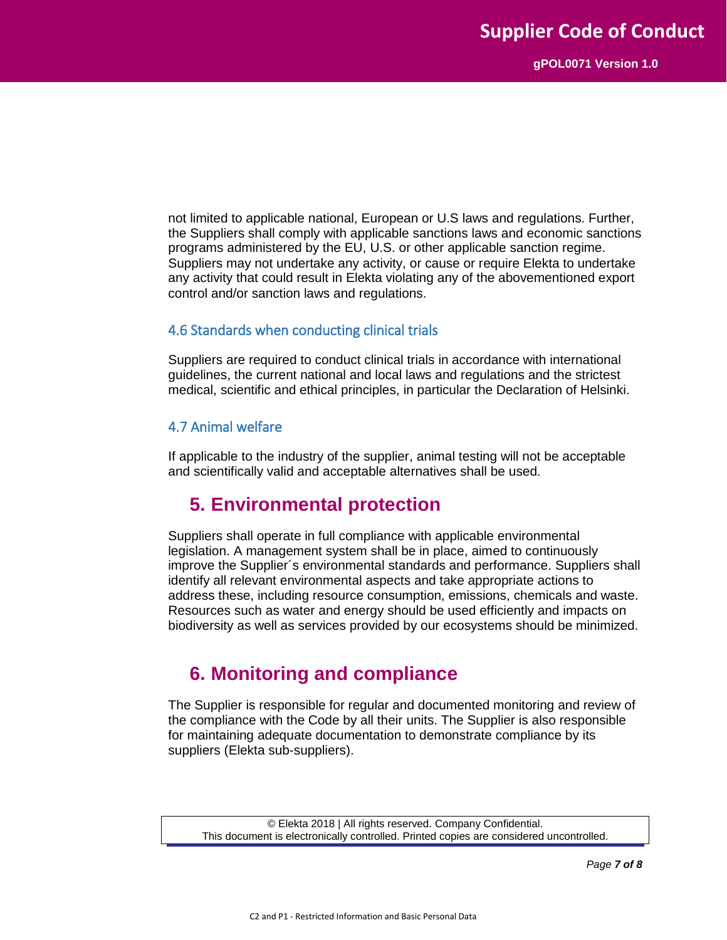not limited to applicable national, European or U.S laws and regulations. Further, the Suppliers shall comply with applicable sanctions laws and economic sanctions programs administered by the EU, U.S. or other applicable sanction regime. Suppliers may not undertake any activity, or cause or require Elekta to undertake any activity that could result in Elekta violating any of the abovementioned export control and/or sanction laws and regulations.

#### 4.6 Standards when conducting clinical trials

Suppliers are required to conduct clinical trials in accordance with international guidelines, the current national and local laws and regulations and the strictest medical, scientific and ethical principles, in particular the Declaration of Helsinki.

#### 4.7 Animal welfare

If applicable to the industry of the supplier, animal testing will not be acceptable and scientifically valid and acceptable alternatives shall be used.

### **5. Environmental protection**

Suppliers shall operate in full compliance with applicable environmental legislation. A management system shall be in place, aimed to continuously improve the Supplier´s environmental standards and performance. Suppliers shall identify all relevant environmental aspects and take appropriate actions to address these, including resource consumption, emissions, chemicals and waste. Resources such as water and energy should be used efficiently and impacts on biodiversity as well as services provided by our ecosystems should be minimized.

### **6. Monitoring and compliance**

The Supplier is responsible for regular and documented monitoring and review of the compliance with the Code by all their units. The Supplier is also responsible for maintaining adequate documentation to demonstrate compliance by its suppliers (Elekta sub-suppliers).